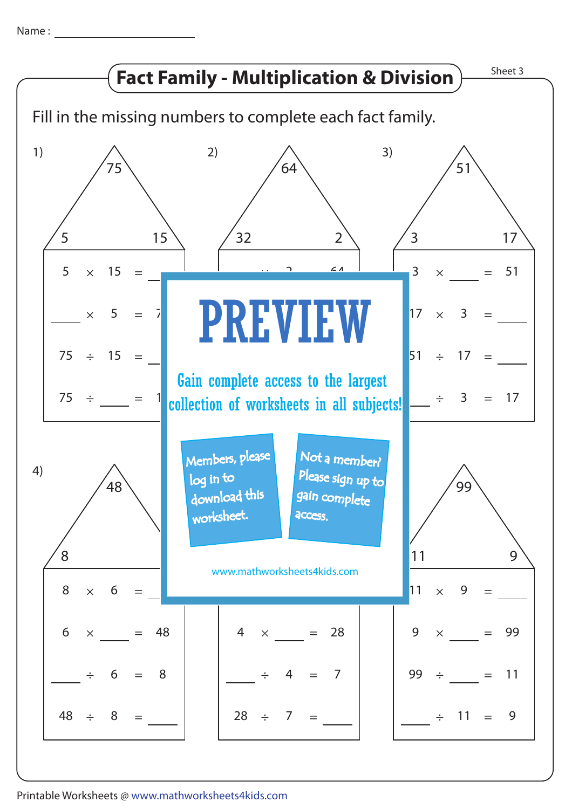Name :